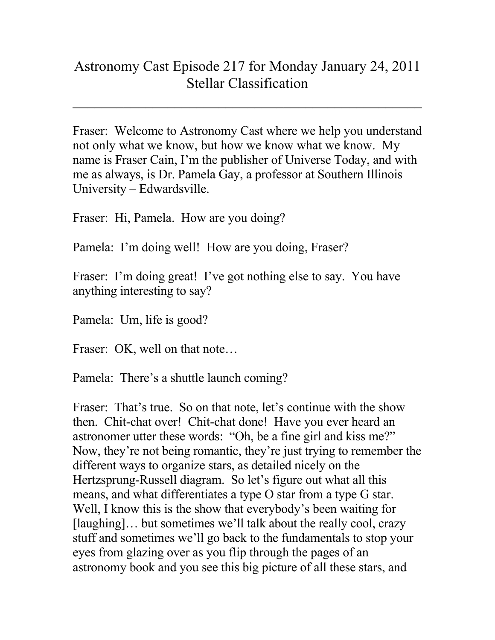## Astronomy Cast Episode 217 for Monday January 24, 2011 Stellar Classification

 $\mathcal{L}_\text{max}$  , and the contract of the contract of the contract of the contract of the contract of the contract of the contract of the contract of the contract of the contract of the contract of the contract of the contr

Fraser: Welcome to Astronomy Cast where we help you understand not only what we know, but how we know what we know. My name is Fraser Cain, I'm the publisher of Universe Today, and with me as always, is Dr. Pamela Gay, a professor at Southern Illinois University – Edwardsville.

Fraser: Hi, Pamela. How are you doing?

Pamela: I'm doing well! How are you doing, Fraser?

Fraser: I'm doing great! I've got nothing else to say. You have anything interesting to say?

Pamela: Um, life is good?

Fraser: OK, well on that note...

Pamela: There's a shuttle launch coming?

Fraser: That's true. So on that note, let's continue with the show then. Chit-chat over! Chit-chat done! Have you ever heard an astronomer utter these words: "Oh, be a fine girl and kiss me?" Now, they're not being romantic, they're just trying to remember the different ways to organize stars, as detailed nicely on the Hertzsprung-Russell diagram. So let's figure out what all this means, and what differentiates a type O star from a type G star. Well, I know this is the show that everybody's been waiting for [laughing]… but sometimes we'll talk about the really cool, crazy stuff and sometimes we'll go back to the fundamentals to stop your eyes from glazing over as you flip through the pages of an astronomy book and you see this big picture of all these stars, and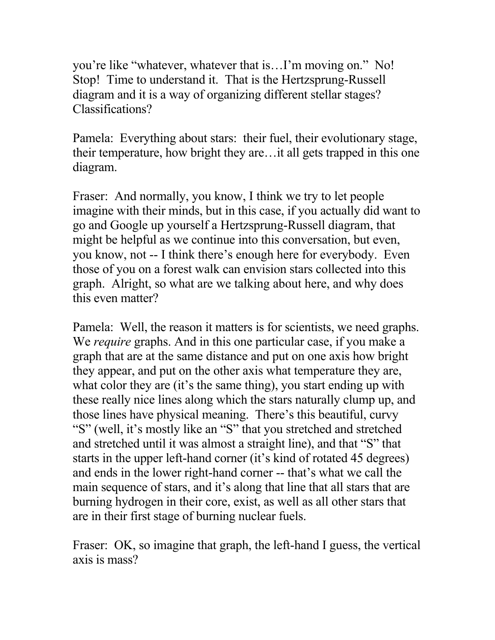you're like "whatever, whatever that is…I'm moving on." No! Stop! Time to understand it. That is the Hertzsprung-Russell diagram and it is a way of organizing different stellar stages? Classifications?

Pamela: Everything about stars: their fuel, their evolutionary stage, their temperature, how bright they are…it all gets trapped in this one diagram.

Fraser: And normally, you know, I think we try to let people imagine with their minds, but in this case, if you actually did want to go and Google up yourself a Hertzsprung-Russell diagram, that might be helpful as we continue into this conversation, but even, you know, not -- I think there's enough here for everybody. Even those of you on a forest walk can envision stars collected into this graph. Alright, so what are we talking about here, and why does this even matter?

Pamela: Well, the reason it matters is for scientists, we need graphs. We *require* graphs. And in this one particular case, if you make a graph that are at the same distance and put on one axis how bright they appear, and put on the other axis what temperature they are, what color they are (it's the same thing), you start ending up with these really nice lines along which the stars naturally clump up, and those lines have physical meaning. There's this beautiful, curvy "S" (well, it's mostly like an "S" that you stretched and stretched and stretched until it was almost a straight line), and that "S" that starts in the upper left-hand corner (it's kind of rotated 45 degrees) and ends in the lower right-hand corner -- that's what we call the main sequence of stars, and it's along that line that all stars that are burning hydrogen in their core, exist, as well as all other stars that are in their first stage of burning nuclear fuels.

Fraser: OK, so imagine that graph, the left-hand I guess, the vertical axis is mass?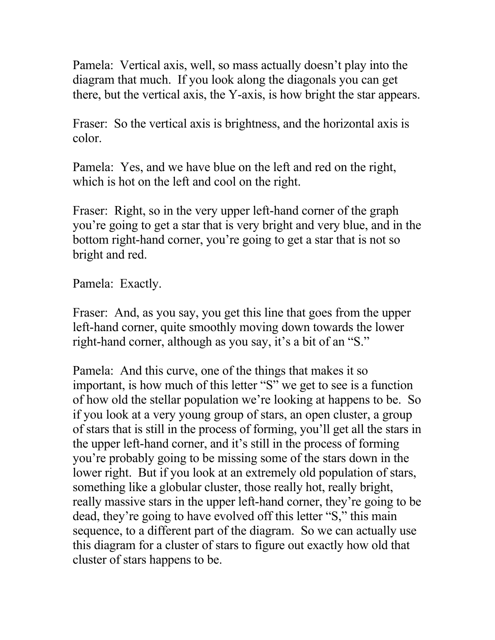Pamela: Vertical axis, well, so mass actually doesn't play into the diagram that much. If you look along the diagonals you can get there, but the vertical axis, the Y-axis, is how bright the star appears.

Fraser: So the vertical axis is brightness, and the horizontal axis is color.

Pamela: Yes, and we have blue on the left and red on the right, which is hot on the left and cool on the right.

Fraser: Right, so in the very upper left-hand corner of the graph you're going to get a star that is very bright and very blue, and in the bottom right-hand corner, you're going to get a star that is not so bright and red.

Pamela: Exactly.

Fraser: And, as you say, you get this line that goes from the upper left-hand corner, quite smoothly moving down towards the lower right-hand corner, although as you say, it's a bit of an "S."

Pamela: And this curve, one of the things that makes it so important, is how much of this letter "S" we get to see is a function of how old the stellar population we're looking at happens to be. So if you look at a very young group of stars, an open cluster, a group of stars that is still in the process of forming, you'll get all the stars in the upper left-hand corner, and it's still in the process of forming you're probably going to be missing some of the stars down in the lower right. But if you look at an extremely old population of stars, something like a globular cluster, those really hot, really bright, really massive stars in the upper left-hand corner, they're going to be dead, they're going to have evolved off this letter "S," this main sequence, to a different part of the diagram. So we can actually use this diagram for a cluster of stars to figure out exactly how old that cluster of stars happens to be.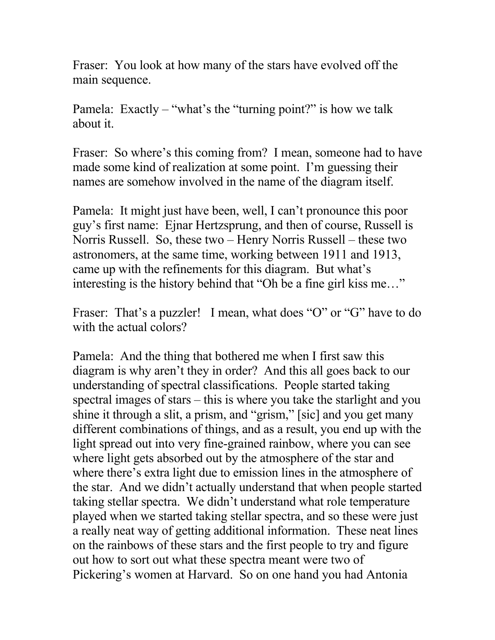Fraser: You look at how many of the stars have evolved off the main sequence.

Pamela: Exactly – "what's the "turning point?" is how we talk about it.

Fraser: So where's this coming from? I mean, someone had to have made some kind of realization at some point. I'm guessing their names are somehow involved in the name of the diagram itself.

Pamela: It might just have been, well, I can't pronounce this poor guy's first name: Ejnar Hertzsprung, and then of course, Russell is Norris Russell. So, these two – Henry Norris Russell – these two astronomers, at the same time, working between 1911 and 1913, came up with the refinements for this diagram. But what's interesting is the history behind that "Oh be a fine girl kiss me…"

Fraser: That's a puzzler! I mean, what does "O" or "G" have to do with the actual colors?

Pamela: And the thing that bothered me when I first saw this diagram is why aren't they in order? And this all goes back to our understanding of spectral classifications. People started taking spectral images of stars – this is where you take the starlight and you shine it through a slit, a prism, and "grism," [sic] and you get many different combinations of things, and as a result, you end up with the light spread out into very fine-grained rainbow, where you can see where light gets absorbed out by the atmosphere of the star and where there's extra light due to emission lines in the atmosphere of the star. And we didn't actually understand that when people started taking stellar spectra. We didn't understand what role temperature played when we started taking stellar spectra, and so these were just a really neat way of getting additional information. These neat lines on the rainbows of these stars and the first people to try and figure out how to sort out what these spectra meant were two of Pickering's women at Harvard. So on one hand you had Antonia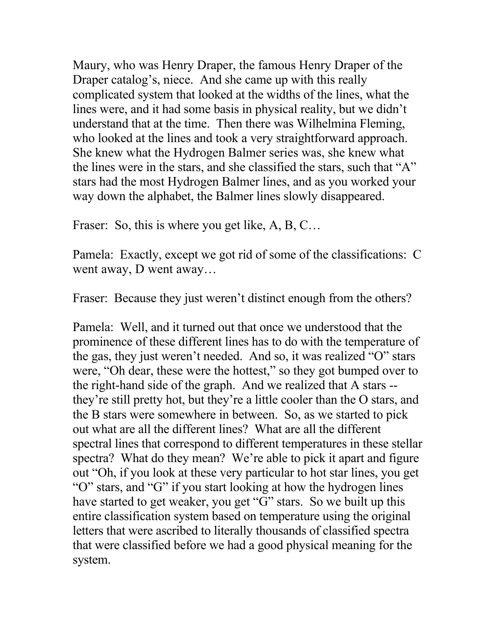Maury, who was Henry Draper, the famous Henry Draper of the Draper catalog's, niece. And she came up with this really complicated system that looked at the widths of the lines, what the lines were, and it had some basis in physical reality, but we didn't understand that at the time. Then there was Wilhelmina Fleming, who looked at the lines and took a very straightforward approach. She knew what the Hydrogen Balmer series was, she knew what the lines were in the stars, and she classified the stars, such that "A" stars had the most Hydrogen Balmer lines, and as you worked your way down the alphabet, the Balmer lines slowly disappeared.

Fraser: So, this is where you get like, A, B, C...

Pamela: Exactly, except we got rid of some of the classifications: C went away, D went away…

Fraser: Because they just weren't distinct enough from the others?

Pamela: Well, and it turned out that once we understood that the prominence of these different lines has to do with the temperature of the gas, they just weren't needed. And so, it was realized "O" stars were, "Oh dear, these were the hottest," so they got bumped over to the right-hand side of the graph. And we realized that A stars - they're still pretty hot, but they're a little cooler than the O stars, and the B stars were somewhere in between. So, as we started to pick out what are all the different lines? What are all the different spectral lines that correspond to different temperatures in these stellar spectra? What do they mean? We're able to pick it apart and figure out "Oh, if you look at these very particular to hot star lines, you get "O" stars, and "G" if you start looking at how the hydrogen lines have started to get weaker, you get "G" stars. So we built up this entire classification system based on temperature using the original letters that were ascribed to literally thousands of classified spectra that were classified before we had a good physical meaning for the system.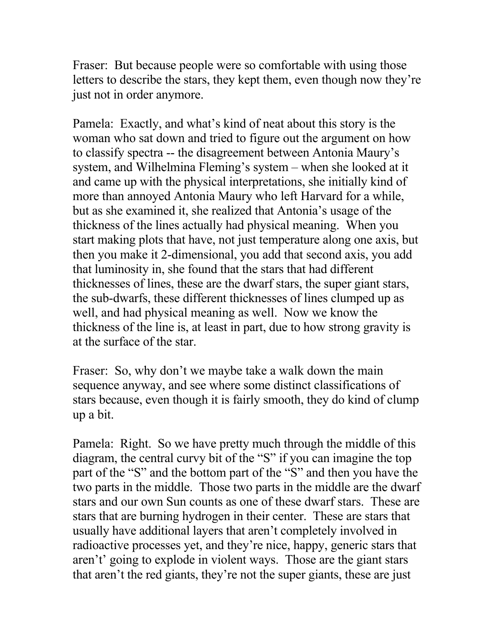Fraser: But because people were so comfortable with using those letters to describe the stars, they kept them, even though now they're just not in order anymore.

Pamela: Exactly, and what's kind of neat about this story is the woman who sat down and tried to figure out the argument on how to classify spectra -- the disagreement between Antonia Maury's system, and Wilhelmina Fleming's system – when she looked at it and came up with the physical interpretations, she initially kind of more than annoyed Antonia Maury who left Harvard for a while, but as she examined it, she realized that Antonia's usage of the thickness of the lines actually had physical meaning. When you start making plots that have, not just temperature along one axis, but then you make it 2-dimensional, you add that second axis, you add that luminosity in, she found that the stars that had different thicknesses of lines, these are the dwarf stars, the super giant stars, the sub-dwarfs, these different thicknesses of lines clumped up as well, and had physical meaning as well. Now we know the thickness of the line is, at least in part, due to how strong gravity is at the surface of the star.

Fraser: So, why don't we maybe take a walk down the main sequence anyway, and see where some distinct classifications of stars because, even though it is fairly smooth, they do kind of clump up a bit.

Pamela: Right. So we have pretty much through the middle of this diagram, the central curvy bit of the "S" if you can imagine the top part of the "S" and the bottom part of the "S" and then you have the two parts in the middle. Those two parts in the middle are the dwarf stars and our own Sun counts as one of these dwarf stars. These are stars that are burning hydrogen in their center. These are stars that usually have additional layers that aren't completely involved in radioactive processes yet, and they're nice, happy, generic stars that aren't' going to explode in violent ways. Those are the giant stars that aren't the red giants, they're not the super giants, these are just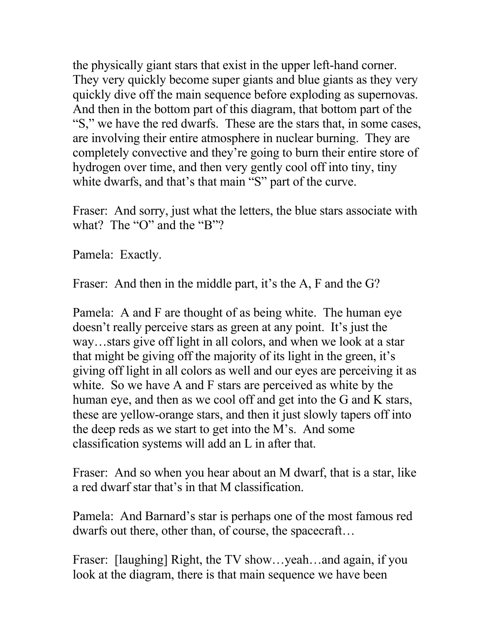the physically giant stars that exist in the upper left-hand corner. They very quickly become super giants and blue giants as they very quickly dive off the main sequence before exploding as supernovas. And then in the bottom part of this diagram, that bottom part of the "S," we have the red dwarfs. These are the stars that, in some cases, are involving their entire atmosphere in nuclear burning. They are completely convective and they're going to burn their entire store of hydrogen over time, and then very gently cool off into tiny, tiny white dwarfs, and that's that main "S" part of the curve.

Fraser: And sorry, just what the letters, the blue stars associate with what? The "O" and the "B"?

Pamela: Exactly.

Fraser: And then in the middle part, it's the A, F and the G?

Pamela: A and F are thought of as being white. The human eye doesn't really perceive stars as green at any point. It's just the way…stars give off light in all colors, and when we look at a star that might be giving off the majority of its light in the green, it's giving off light in all colors as well and our eyes are perceiving it as white. So we have A and F stars are perceived as white by the human eye, and then as we cool off and get into the G and K stars, these are yellow-orange stars, and then it just slowly tapers off into the deep reds as we start to get into the M's. And some classification systems will add an L in after that.

Fraser: And so when you hear about an M dwarf, that is a star, like a red dwarf star that's in that M classification.

Pamela: And Barnard's star is perhaps one of the most famous red dwarfs out there, other than, of course, the spacecraft…

Fraser: [laughing] Right, the TV show...yeah...and again, if you look at the diagram, there is that main sequence we have been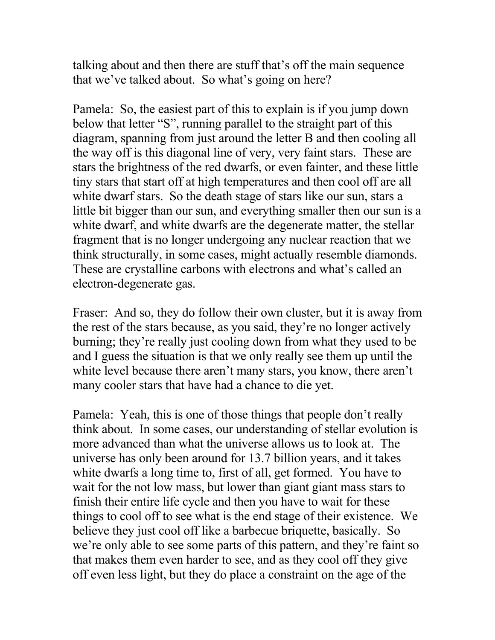talking about and then there are stuff that's off the main sequence that we've talked about. So what's going on here?

Pamela: So, the easiest part of this to explain is if you jump down below that letter "S", running parallel to the straight part of this diagram, spanning from just around the letter B and then cooling all the way off is this diagonal line of very, very faint stars. These are stars the brightness of the red dwarfs, or even fainter, and these little tiny stars that start off at high temperatures and then cool off are all white dwarf stars. So the death stage of stars like our sun, stars a little bit bigger than our sun, and everything smaller then our sun is a white dwarf, and white dwarfs are the degenerate matter, the stellar fragment that is no longer undergoing any nuclear reaction that we think structurally, in some cases, might actually resemble diamonds. These are crystalline carbons with electrons and what's called an electron-degenerate gas.

Fraser: And so, they do follow their own cluster, but it is away from the rest of the stars because, as you said, they're no longer actively burning; they're really just cooling down from what they used to be and I guess the situation is that we only really see them up until the white level because there aren't many stars, you know, there aren't many cooler stars that have had a chance to die yet.

Pamela: Yeah, this is one of those things that people don't really think about. In some cases, our understanding of stellar evolution is more advanced than what the universe allows us to look at. The universe has only been around for 13.7 billion years, and it takes white dwarfs a long time to, first of all, get formed. You have to wait for the not low mass, but lower than giant giant mass stars to finish their entire life cycle and then you have to wait for these things to cool off to see what is the end stage of their existence. We believe they just cool off like a barbecue briquette, basically. So we're only able to see some parts of this pattern, and they're faint so that makes them even harder to see, and as they cool off they give off even less light, but they do place a constraint on the age of the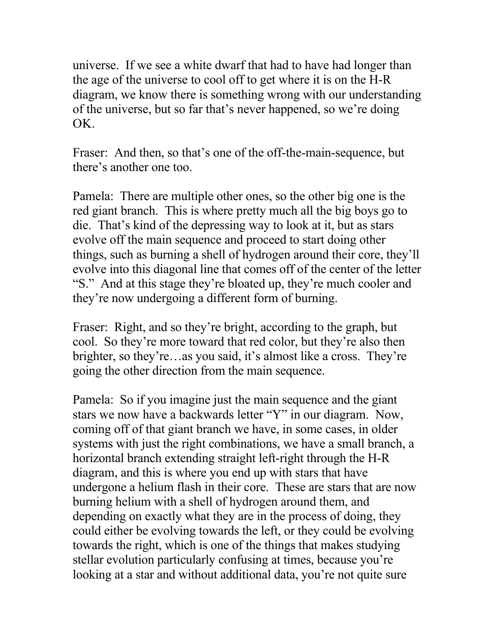universe. If we see a white dwarf that had to have had longer than the age of the universe to cool off to get where it is on the H-R diagram, we know there is something wrong with our understanding of the universe, but so far that's never happened, so we're doing OK.

Fraser: And then, so that's one of the off-the-main-sequence, but there's another one too.

Pamela: There are multiple other ones, so the other big one is the red giant branch. This is where pretty much all the big boys go to die. That's kind of the depressing way to look at it, but as stars evolve off the main sequence and proceed to start doing other things, such as burning a shell of hydrogen around their core, they'll evolve into this diagonal line that comes off of the center of the letter "S." And at this stage they're bloated up, they're much cooler and they're now undergoing a different form of burning.

Fraser: Right, and so they're bright, according to the graph, but cool. So they're more toward that red color, but they're also then brighter, so they're…as you said, it's almost like a cross. They're going the other direction from the main sequence.

Pamela: So if you imagine just the main sequence and the giant stars we now have a backwards letter "Y" in our diagram. Now, coming off of that giant branch we have, in some cases, in older systems with just the right combinations, we have a small branch, a horizontal branch extending straight left-right through the H-R diagram, and this is where you end up with stars that have undergone a helium flash in their core. These are stars that are now burning helium with a shell of hydrogen around them, and depending on exactly what they are in the process of doing, they could either be evolving towards the left, or they could be evolving towards the right, which is one of the things that makes studying stellar evolution particularly confusing at times, because you're looking at a star and without additional data, you're not quite sure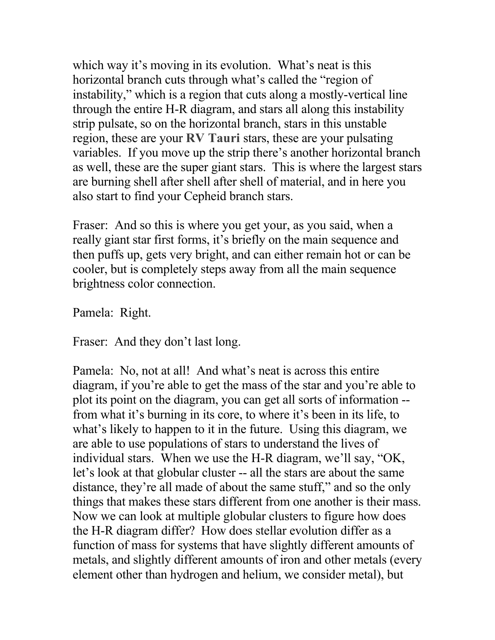which way it's moving in its evolution. What's neat is this horizontal branch cuts through what's called the "region of instability," which is a region that cuts along a mostly-vertical line through the entire H-R diagram, and stars all along this instability strip pulsate, so on the horizontal branch, stars in this unstable region, these are your **RV Tauri** stars, these are your pulsating variables. If you move up the strip there's another horizontal branch as well, these are the super giant stars. This is where the largest stars are burning shell after shell after shell of material, and in here you also start to find your Cepheid branch stars.

Fraser: And so this is where you get your, as you said, when a really giant star first forms, it's briefly on the main sequence and then puffs up, gets very bright, and can either remain hot or can be cooler, but is completely steps away from all the main sequence brightness color connection.

Pamela: Right.

Fraser: And they don't last long.

Pamela: No, not at all! And what's neat is across this entire diagram, if you're able to get the mass of the star and you're able to plot its point on the diagram, you can get all sorts of information - from what it's burning in its core, to where it's been in its life, to what's likely to happen to it in the future. Using this diagram, we are able to use populations of stars to understand the lives of individual stars. When we use the H-R diagram, we'll say, "OK, let's look at that globular cluster -- all the stars are about the same distance, they're all made of about the same stuff," and so the only things that makes these stars different from one another is their mass. Now we can look at multiple globular clusters to figure how does the H-R diagram differ? How does stellar evolution differ as a function of mass for systems that have slightly different amounts of metals, and slightly different amounts of iron and other metals (every element other than hydrogen and helium, we consider metal), but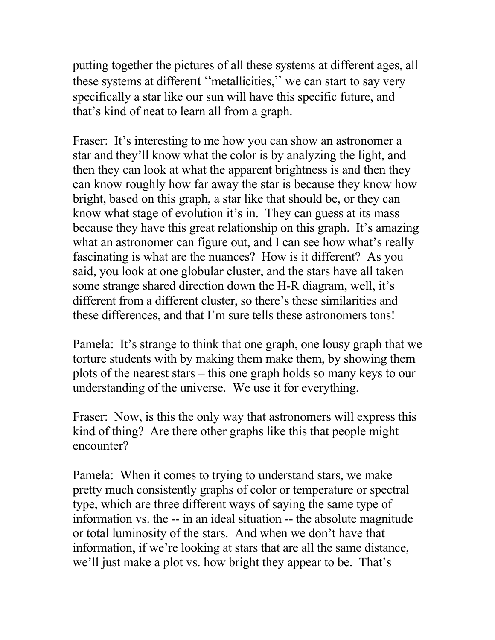putting together the pictures of all these systems at different ages, all these systems at different "metallicities," we can start to say very specifically a star like our sun will have this specific future, and that's kind of neat to learn all from a graph.

Fraser: It's interesting to me how you can show an astronomer a star and they'll know what the color is by analyzing the light, and then they can look at what the apparent brightness is and then they can know roughly how far away the star is because they know how bright, based on this graph, a star like that should be, or they can know what stage of evolution it's in. They can guess at its mass because they have this great relationship on this graph. It's amazing what an astronomer can figure out, and I can see how what's really fascinating is what are the nuances? How is it different? As you said, you look at one globular cluster, and the stars have all taken some strange shared direction down the H-R diagram, well, it's different from a different cluster, so there's these similarities and these differences, and that I'm sure tells these astronomers tons!

Pamela: It's strange to think that one graph, one lousy graph that we torture students with by making them make them, by showing them plots of the nearest stars – this one graph holds so many keys to our understanding of the universe. We use it for everything.

Fraser: Now, is this the only way that astronomers will express this kind of thing? Are there other graphs like this that people might encounter?

Pamela: When it comes to trying to understand stars, we make pretty much consistently graphs of color or temperature or spectral type, which are three different ways of saying the same type of information vs. the -- in an ideal situation -- the absolute magnitude or total luminosity of the stars. And when we don't have that information, if we're looking at stars that are all the same distance, we'll just make a plot vs. how bright they appear to be. That's